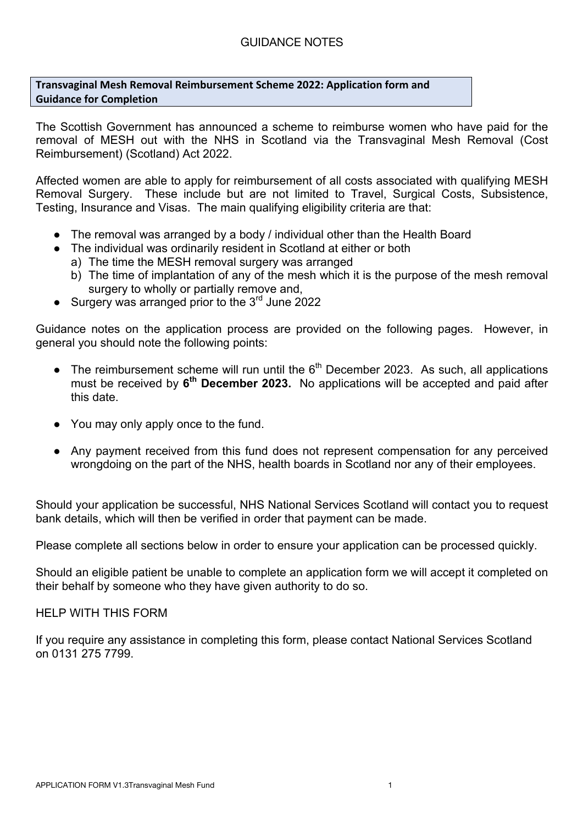**Transvaginal Mesh Removal Reimbursement Scheme 2022: Application form and Guidance for Completion** 

The Scottish Government has announced a scheme to reimburse women who have paid for the removal of MESH out with the NHS in Scotland via the Transvaginal Mesh Removal (Cost Reimbursement) (Scotland) Act 2022.

Affected women are able to apply for reimbursement of all costs associated with qualifying MESH Removal Surgery. These include but are not limited to Travel, Surgical Costs, Subsistence, Testing, Insurance and Visas. The main qualifying eligibility criteria are that:

- The removal was arranged by a body / individual other than the Health Board
- The individual was ordinarily resident in Scotland at either or both
	- a) The time the MESH removal surgery was arranged
	- b) The time of implantation of any of the mesh which it is the purpose of the mesh removal surgery to wholly or partially remove and,
- Surgery was arranged prior to the 3<sup>rd</sup> June 2022

Guidance notes on the application process are provided on the following pages. However, in general you should note the following points:

- $\bullet$  The reimbursement scheme will run until the  $6<sup>th</sup>$  December 2023. As such, all applications must be received by **6th December 2023.** No applications will be accepted and paid after this date.
- You may only apply once to the fund.
- Any payment received from this fund does not represent compensation for any perceived wrongdoing on the part of the NHS, health boards in Scotland nor any of their employees.

Should your application be successful, NHS National Services Scotland will contact you to request bank details, which will then be verified in order that payment can be made.

Please complete all sections below in order to ensure your application can be processed quickly.

Should an eligible patient be unable to complete an application form we will accept it completed on their behalf by someone who they have given authority to do so.

HELP WITH THIS FORM

If you require any assistance in completing this form, please contact National Services Scotland on 0131 275 7799.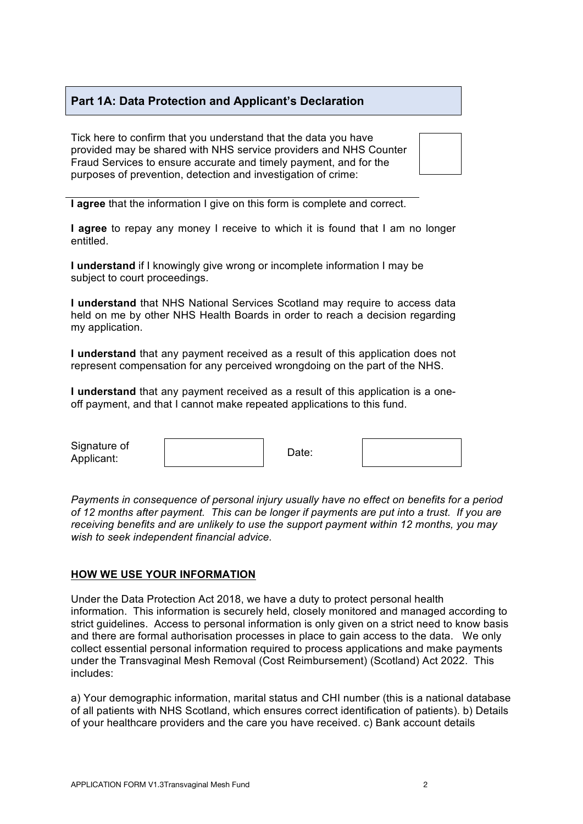## **Part 1A: Data Protection and Applicant's Declaration**

Tick here to confirm that you understand that the data you have provided may be shared with NHS service providers and NHS Counter Fraud Services to ensure accurate and timely payment, and for the purposes of prevention, detection and investigation of crime:



**I agree** to repay any money I receive to which it is found that I am no longer entitled.

**I understand** if I knowingly give wrong or incomplete information I may be subject to court proceedings.

**I understand** that NHS National Services Scotland may require to access data held on me by other NHS Health Boards in order to reach a decision regarding my application.

**I understand** that any payment received as a result of this application does not represent compensation for any perceived wrongdoing on the part of the NHS.

**I understand** that any payment received as a result of this application is a oneoff payment, and that I cannot make repeated applications to this fund.

| Signature of<br>Applicant: | Date: |  |
|----------------------------|-------|--|
|----------------------------|-------|--|

*Payments in consequence of personal injury usually have no effect on benefits for a period of 12 months after payment. This can be longer if payments are put into a trust. If you are receiving benefits and are unlikely to use the support payment within 12 months, you may wish to seek independent financial advice.*

#### **HOW WE USE YOUR INFORMATION**

Under the Data Protection Act 2018, we have a duty to protect personal health information. This information is securely held, closely monitored and managed according to strict guidelines. Access to personal information is only given on a strict need to know basis and there are formal authorisation processes in place to gain access to the data. We only collect essential personal information required to process applications and make payments under the Transvaginal Mesh Removal (Cost Reimbursement) (Scotland) Act 2022. This includes:

a) Your demographic information, marital status and CHI number (this is a national database of all patients with NHS Scotland, which ensures correct identification of patients). b) Details of your healthcare providers and the care you have received. c) Bank account details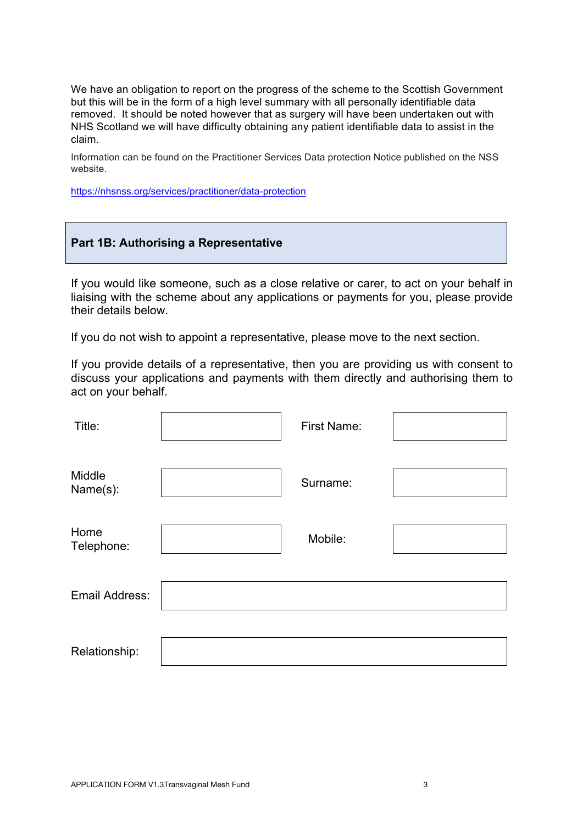We have an obligation to report on the progress of the scheme to the Scottish Government but this will be in the form of a high level summary with all personally identifiable data removed. It should be noted however that as surgery will have been undertaken out with NHS Scotland we will have difficulty obtaining any patient identifiable data to assist in the claim.

Information can be found on the Practitioner Services Data protection Notice published on the NSS website.

https://nhsnss.org/services/practitioner/data-protection

### **Part 1B: Authorising a Representative**

If you would like someone, such as a close relative or carer, to act on your behalf in liaising with the scheme about any applications or payments for you, please provide their details below.

If you do not wish to appoint a representative, please move to the next section.

If you provide details of a representative, then you are providing us with consent to discuss your applications and payments with them directly and authorising them to act on your behalf.

| Title:             | First Name: |  |
|--------------------|-------------|--|
| Middle<br>Name(s): | Surname:    |  |
| Home<br>Telephone: | Mobile:     |  |
| Email Address:     |             |  |
| Relationship:      |             |  |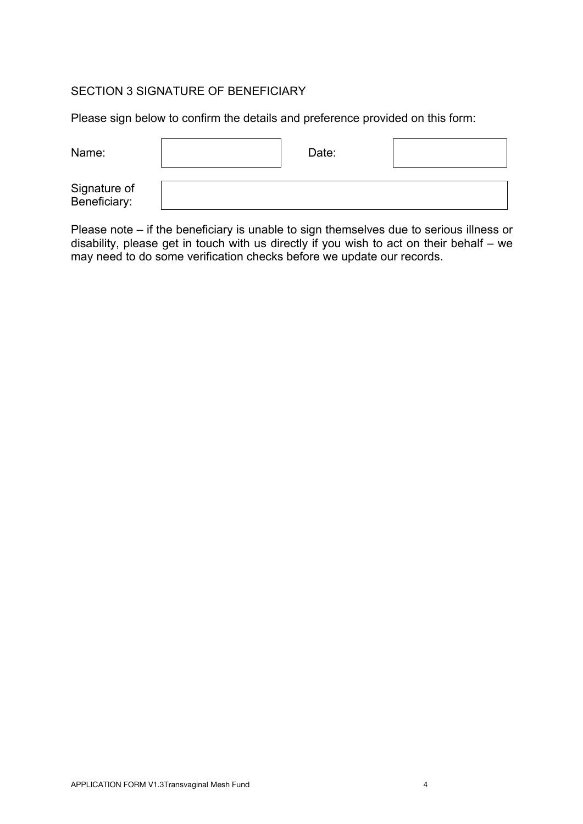## SECTION 3 SIGNATURE OF BENEFICIARY

Please sign below to confirm the details and preference provided on this form:

| Name:                        | Date: |  |
|------------------------------|-------|--|
| Signature of<br>Beneficiary: |       |  |

Please note – if the beneficiary is unable to sign themselves due to serious illness or disability, please get in touch with us directly if you wish to act on their behalf – we may need to do some verification checks before we update our records.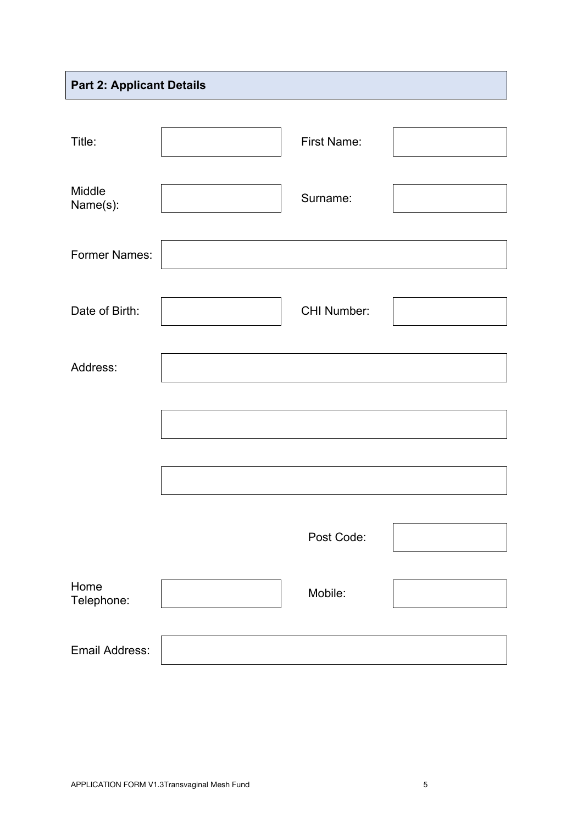# **Part 2: Applicant Details**

| Title:               | First Name:        |  |
|----------------------|--------------------|--|
| Middle<br>Name(s):   | Surname:           |  |
| <b>Former Names:</b> |                    |  |
| Date of Birth:       | <b>CHI Number:</b> |  |
| Address:             |                    |  |
|                      |                    |  |
|                      |                    |  |
|                      |                    |  |
|                      | Post Code:         |  |
| Home<br>Telephone:   | Mobile:            |  |
| Email Address:       |                    |  |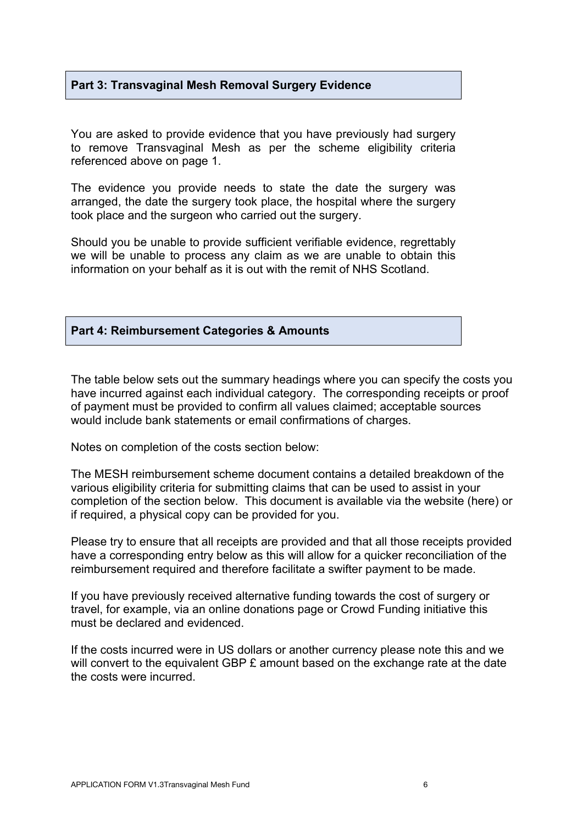## **Part 3: Transvaginal Mesh Removal Surgery Evidence**

You are asked to provide evidence that you have previously had surgery to remove Transvaginal Mesh as per the scheme eligibility criteria referenced above on page 1.

The evidence you provide needs to state the date the surgery was arranged, the date the surgery took place, the hospital where the surgery took place and the surgeon who carried out the surgery.

Should you be unable to provide sufficient verifiable evidence, regrettably we will be unable to process any claim as we are unable to obtain this information on your behalf as it is out with the remit of NHS Scotland.

### **Part 4: Reimbursement Categories & Amounts**

The table below sets out the summary headings where you can specify the costs you have incurred against each individual category. The corresponding receipts or proof of payment must be provided to confirm all values claimed; acceptable sources would include bank statements or email confirmations of charges.

Notes on completion of the costs section below:

The MESH reimbursement scheme document contains a detailed breakdown of the various eligibility criteria for submitting claims that can be used to assist in your completion of the section below. This document is available via the website (here) or if required, a physical copy can be provided for you.

Please try to ensure that all receipts are provided and that all those receipts provided have a corresponding entry below as this will allow for a quicker reconciliation of the reimbursement required and therefore facilitate a swifter payment to be made.

If you have previously received alternative funding towards the cost of surgery or travel, for example, via an online donations page or Crowd Funding initiative this must be declared and evidenced.

If the costs incurred were in US dollars or another currency please note this and we will convert to the equivalent GBP £ amount based on the exchange rate at the date the costs were incurred.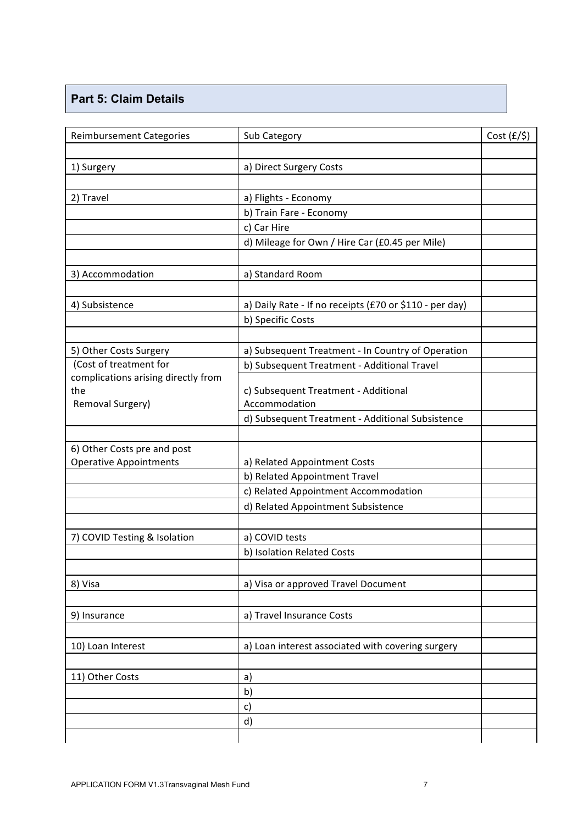## **Part 5: Claim Details**

| <b>Reimbursement Categories</b>                              | Sub Category                                            | $Cost (f/\$)$ |
|--------------------------------------------------------------|---------------------------------------------------------|---------------|
|                                                              |                                                         |               |
| 1) Surgery                                                   | a) Direct Surgery Costs                                 |               |
| 2) Travel                                                    | a) Flights - Economy                                    |               |
|                                                              | b) Train Fare - Economy                                 |               |
|                                                              | c) Car Hire                                             |               |
|                                                              | d) Mileage for Own / Hire Car (£0.45 per Mile)          |               |
| 3) Accommodation                                             | a) Standard Room                                        |               |
| 4) Subsistence                                               |                                                         |               |
|                                                              | a) Daily Rate - If no receipts (£70 or \$110 - per day) |               |
|                                                              | b) Specific Costs                                       |               |
| 5) Other Costs Surgery                                       | a) Subsequent Treatment - In Country of Operation       |               |
| (Cost of treatment for                                       | b) Subsequent Treatment - Additional Travel             |               |
| complications arising directly from                          |                                                         |               |
| the                                                          | c) Subsequent Treatment - Additional                    |               |
| Removal Surgery)                                             | Accommodation                                           |               |
|                                                              | d) Subsequent Treatment - Additional Subsistence        |               |
|                                                              |                                                         |               |
| 6) Other Costs pre and post<br><b>Operative Appointments</b> | a) Related Appointment Costs                            |               |
|                                                              | b) Related Appointment Travel                           |               |
|                                                              | c) Related Appointment Accommodation                    |               |
|                                                              | d) Related Appointment Subsistence                      |               |
|                                                              |                                                         |               |
| 7) COVID Testing & Isolation                                 | a) COVID tests                                          |               |
|                                                              | b) Isolation Related Costs                              |               |
|                                                              |                                                         |               |
| 8) Visa                                                      | a) Visa or approved Travel Document                     |               |
| 9) Insurance                                                 | a) Travel Insurance Costs                               |               |
|                                                              |                                                         |               |
| 10) Loan Interest                                            | a) Loan interest associated with covering surgery       |               |
| 11) Other Costs                                              | a)                                                      |               |
|                                                              | b)                                                      |               |
|                                                              | c)                                                      |               |
|                                                              | d)                                                      |               |
|                                                              |                                                         |               |